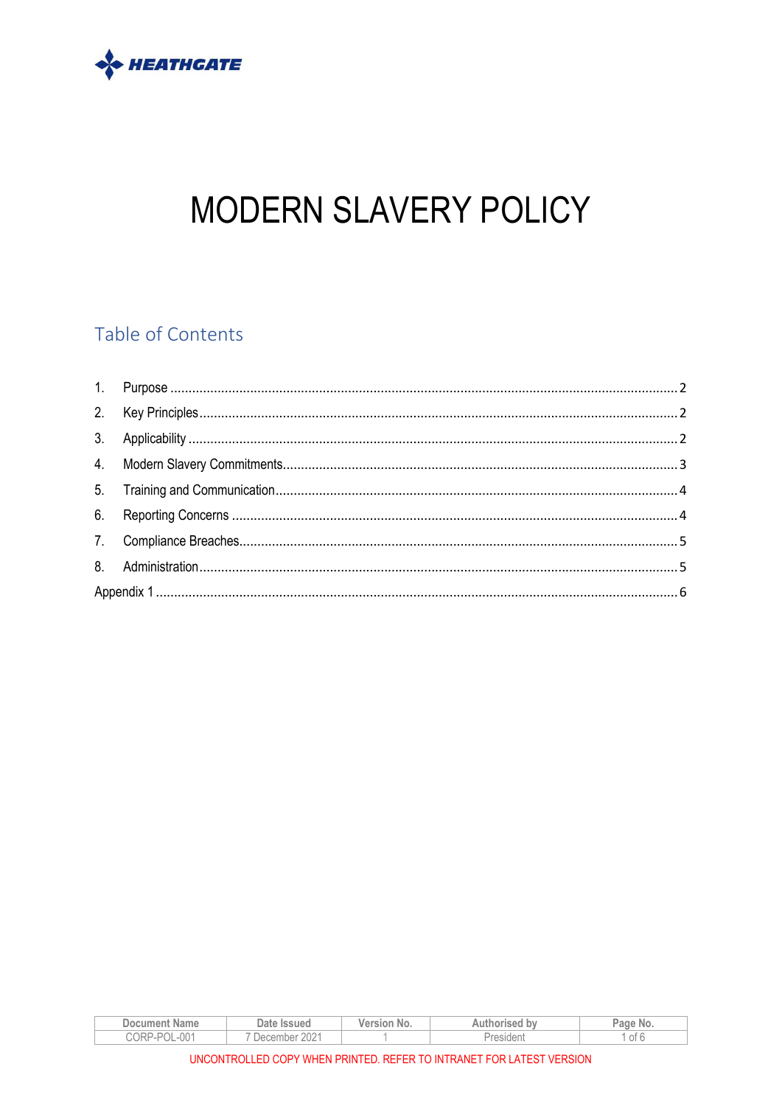

# MODERN SLAVERY POLICY

## Table of Contents

| <b>Document Name</b>               | Date Issued      | Version No. | Authorised by    | Page<br>No. |
|------------------------------------|------------------|-------------|------------------|-------------|
| $\bigcap$ 1<br>-POL<br>CORP.<br>UU | 202'<br>December |             | <i>President</i> | ot 6        |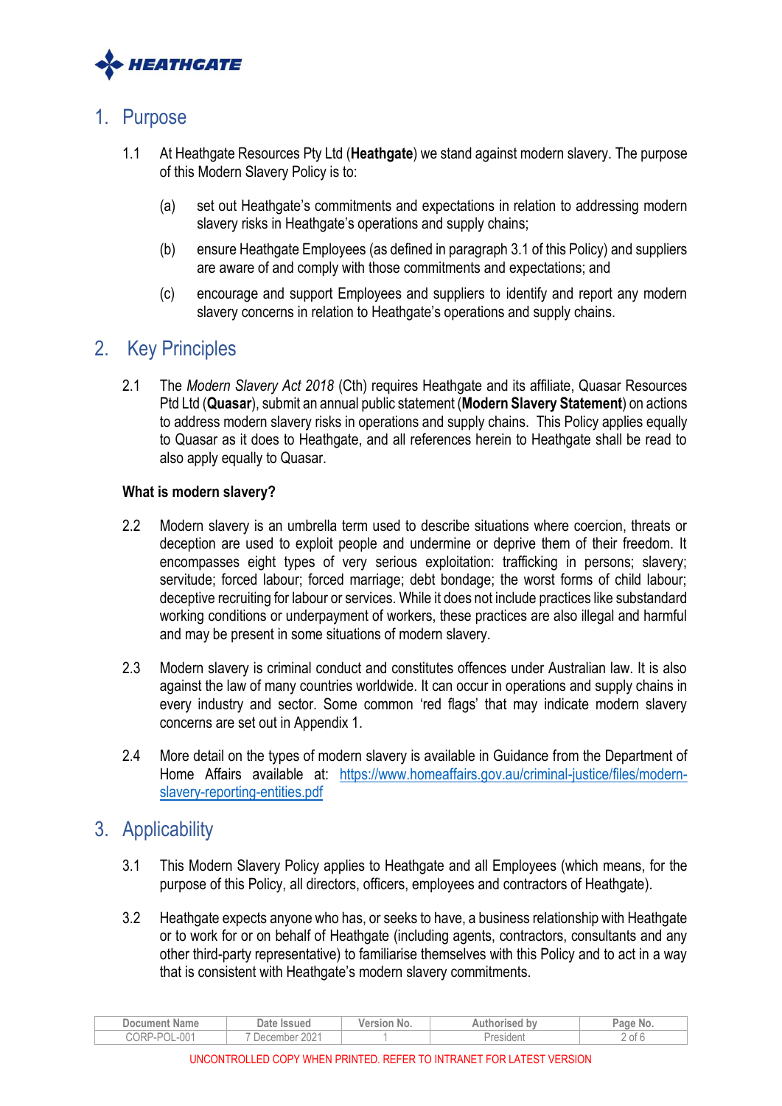

## <span id="page-1-0"></span>1. Purpose

- 1.1 At Heathgate Resources Pty Ltd (**Heathgate**) we stand against modern slavery. The purpose of this Modern Slavery Policy is to:
	- (a) set out Heathgate's commitments and expectations in relation to addressing modern slavery risks in Heathgate's operations and supply chains;
	- (b) ensure Heathgate Employees (as defined in paragraph 3.1 of this Policy) and suppliers are aware of and comply with those commitments and expectations; and
	- (c) encourage and support Employees and suppliers to identify and report any modern slavery concerns in relation to Heathgate's operations and supply chains.

## <span id="page-1-1"></span>2. Key Principles

2.1 The *Modern Slavery Act 2018* (Cth) requires Heathgate and its affiliate, Quasar Resources Ptd Ltd (**Quasar**), submit an annual public statement (**Modern Slavery Statement**) on actions to address modern slavery risks in operations and supply chains. This Policy applies equally to Quasar as it does to Heathgate, and all references herein to Heathgate shall be read to also apply equally to Quasar.

### **What is modern slavery?**

- 2.2 Modern slavery is an umbrella term used to describe situations where coercion, threats or deception are used to exploit people and undermine or deprive them of their freedom. It encompasses eight types of very serious exploitation: trafficking in persons; slavery; servitude; forced labour; forced marriage; debt bondage; the worst forms of child labour; deceptive recruiting for labour or services. While it does not include practices like substandard working conditions or underpayment of workers, these practices are also illegal and harmful and may be present in some situations of modern slavery.
- 2.3 Modern slavery is criminal conduct and constitutes offences under Australian law. It is also against the law of many countries worldwide. It can occur in operations and supply chains in every industry and sector. Some common 'red flags' that may indicate modern slavery concerns are set out in Appendix 1.
- 2.4 More detail on the types of modern slavery is available in Guidance from the Department of Home Affairs available at: [https://www.homeaffairs.gov.au/criminal-justice/files/modern](https://www.homeaffairs.gov.au/criminal-justice/files/modern-slavery-reporting-entities.pdf)[slavery-reporting-entities.pdf](https://www.homeaffairs.gov.au/criminal-justice/files/modern-slavery-reporting-entities.pdf)

## <span id="page-1-2"></span>3. Applicability

- 3.1 This Modern Slavery Policy applies to Heathgate and all Employees (which means, for the purpose of this Policy, all directors, officers, employees and contractors of Heathgate).
- 3.2 Heathgate expects anyone who has, or seeks to have, a business relationship with Heathgate or to work for or on behalf of Heathgate (including agents, contractors, consultants and any other third-party representative) to familiarise themselves with this Policy and to act in a way that is consistent with Heathgate's modern slavery commitments.

| Jocumer<br>Name                     | Date<br><b>Issued</b> | w. | nu | ade.<br>No.        |
|-------------------------------------|-----------------------|----|----|--------------------|
| $\cap \cap \cdot$<br>- שטר<br>-UU . | $\cap$<br>Je<br>′.∪∠  |    |    | . .<br>' of b<br>- |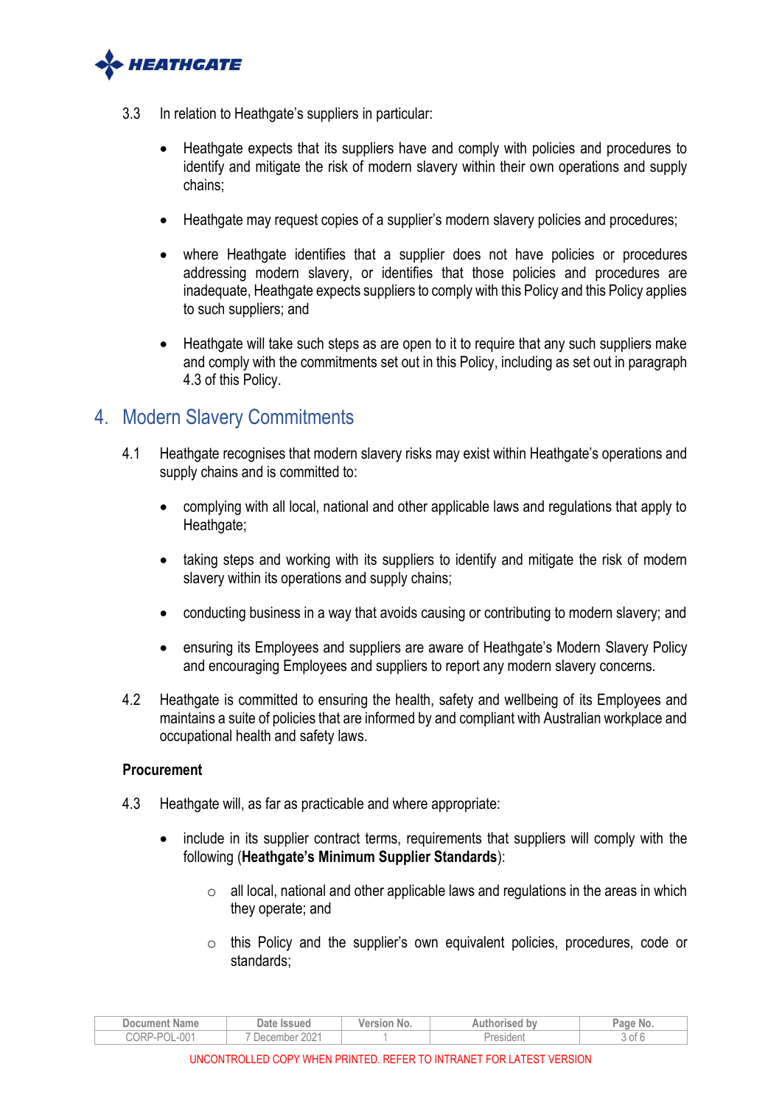

- 3.3 In relation to Heathgate's suppliers in particular:
	- Heathgate expects that its suppliers have and comply with policies and procedures to identify and mitigate the risk of modern slavery within their own operations and supply chains;
	- Heathgate may request copies of a supplier's modern slavery policies and procedures;
	- where Heathgate identifies that a supplier does not have policies or procedures addressing modern slavery, or identifies that those policies and procedures are inadequate, Heathgate expects suppliers to comply with this Policy and this Policy applies to such suppliers; and
	- Heathgate will take such steps as are open to it to require that any such suppliers make and comply with the commitments set out in this Policy, including as set out in paragraph [4.3](#page-2-1) of this Policy.

## <span id="page-2-0"></span>4. Modern Slavery Commitments

- 4.1 Heathgate recognises that modern slavery risks may exist within Heathgate's operations and supply chains and is committed to:
	- complying with all local, national and other applicable laws and regulations that apply to Heathgate;
	- taking steps and working with its suppliers to identify and mitigate the risk of modern slavery within its operations and supply chains;
	- conducting business in a way that avoids causing or contributing to modern slavery; and
	- ensuring its Employees and suppliers are aware of Heathgate's Modern Slavery Policy and encouraging Employees and suppliers to report any modern slavery concerns.
- 4.2 Heathgate is committed to ensuring the health, safety and wellbeing of its Employees and maintains a suite of policies that are informed by and compliant with Australian workplace and occupational health and safety laws.

#### **Procurement**

- <span id="page-2-1"></span>4.3 Heathgate will, as far as practicable and where appropriate:
	- include in its supplier contract terms, requirements that suppliers will comply with the following (**Heathgate's Minimum Supplier Standards**):
		- $\circ$  all local, national and other applicable laws and regulations in the areas in which they operate; and
		- o this Policy and the supplier's own equivalent policies, procedures, code or standards;

| Document<br><b>Name</b>  | Date<br>lssued<br>ersion<br>bv<br>Authorised<br>No. |  | Page<br>No. |        |
|--------------------------|-----------------------------------------------------|--|-------------|--------|
| $-001$<br>CORP:<br>ے ہے۔ | $\cap \cap \cap$<br>nbei<br>Jec.<br>′.∪∠            |  | COIUCIIL    | 3 OT ' |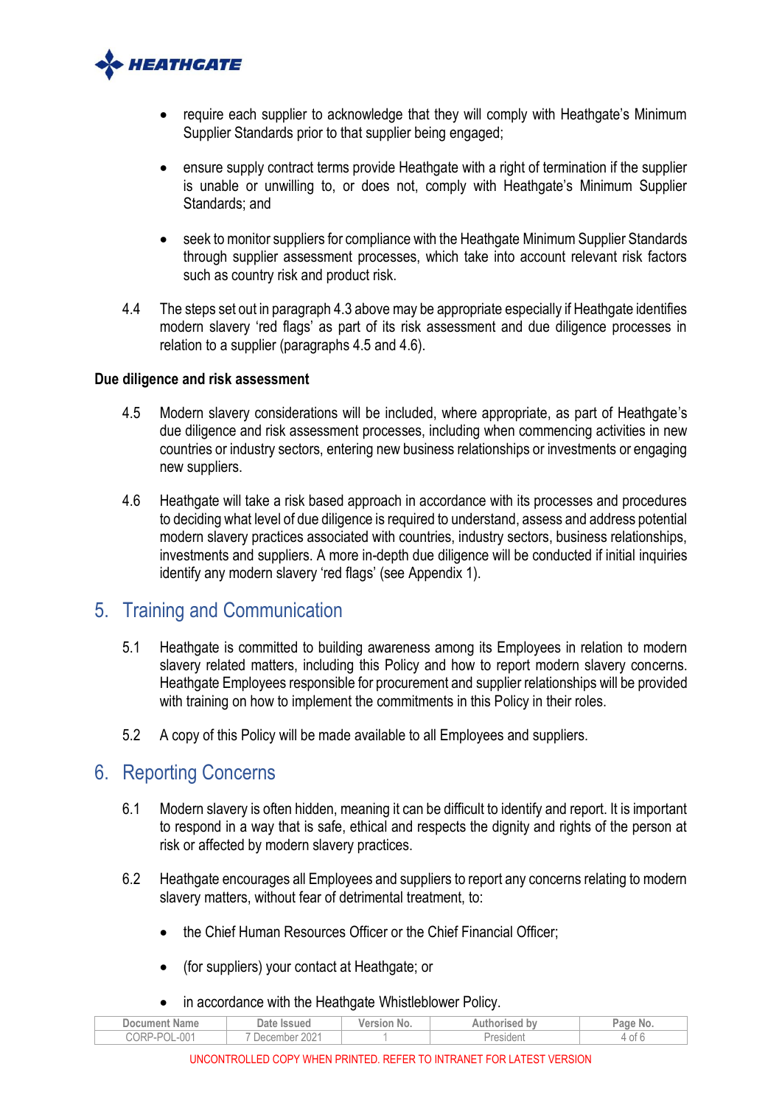

- require each supplier to acknowledge that they will comply with Heathgate's Minimum Supplier Standards prior to that supplier being engaged;
- ensure supply contract terms provide Heathgate with a right of termination if the supplier is unable or unwilling to, or does not, comply with Heathgate's Minimum Supplier Standards; and
- seek to monitor suppliers for compliance with the Heathgate Minimum Supplier Standards through supplier assessment processes, which take into account relevant risk factors such as country risk and product risk.
- 4.4 The steps set out in paragrap[h 4.3](#page-2-1) above may be appropriate especially if Heathgate identifies modern slavery 'red flags' as part of its risk assessment and due diligence processes in relation to a supplier (paragraphs [4.5](#page-3-2) and [4.6\)](#page-3-3).

#### **Due diligence and risk assessment**

- <span id="page-3-2"></span>4.5 Modern slavery considerations will be included, where appropriate, as part of Heathgate's due diligence and risk assessment processes, including when commencing activities in new countries or industry sectors, entering new business relationships or investments or engaging new suppliers.
- <span id="page-3-3"></span>4.6 Heathgate will take a risk based approach in accordance with its processes and procedures to deciding what level of due diligence is required to understand, assess and address potential modern slavery practices associated with countries, industry sectors, business relationships, investments and suppliers. A more in-depth due diligence will be conducted if initial inquiries identify any modern slavery 'red flags' (see Appendix 1).

## <span id="page-3-0"></span>5. Training and Communication

- 5.1 Heathgate is committed to building awareness among its Employees in relation to modern slavery related matters, including this Policy and how to report modern slavery concerns. Heathgate Employees responsible for procurement and supplier relationships will be provided with training on how to implement the commitments in this Policy in their roles.
- 5.2 A copy of this Policy will be made available to all Employees and suppliers.

## <span id="page-3-1"></span>6. Reporting Concerns

- 6.1 Modern slavery is often hidden, meaning it can be difficult to identify and report. It is important to respond in a way that is safe, ethical and respects the dignity and rights of the person at risk or affected by modern slavery practices.
- 6.2 Heathgate encourages all Employees and suppliers to report any concerns relating to modern slavery matters, without fear of detrimental treatment, to:
	- the Chief Human Resources Officer or the Chief Financial Officer;
	- (for suppliers) your contact at Heathgate; or
	- in accordance with the Heathgate Whistleblower Policy.

|               |                     | __          |               |          |
|---------------|---------------------|-------------|---------------|----------|
| Document Name | Date Issued         | Version No. | Authorised bv | Page No. |
| CORP-POL-001  | $202 -$<br>December |             | resident      | 0Ť<br>д. |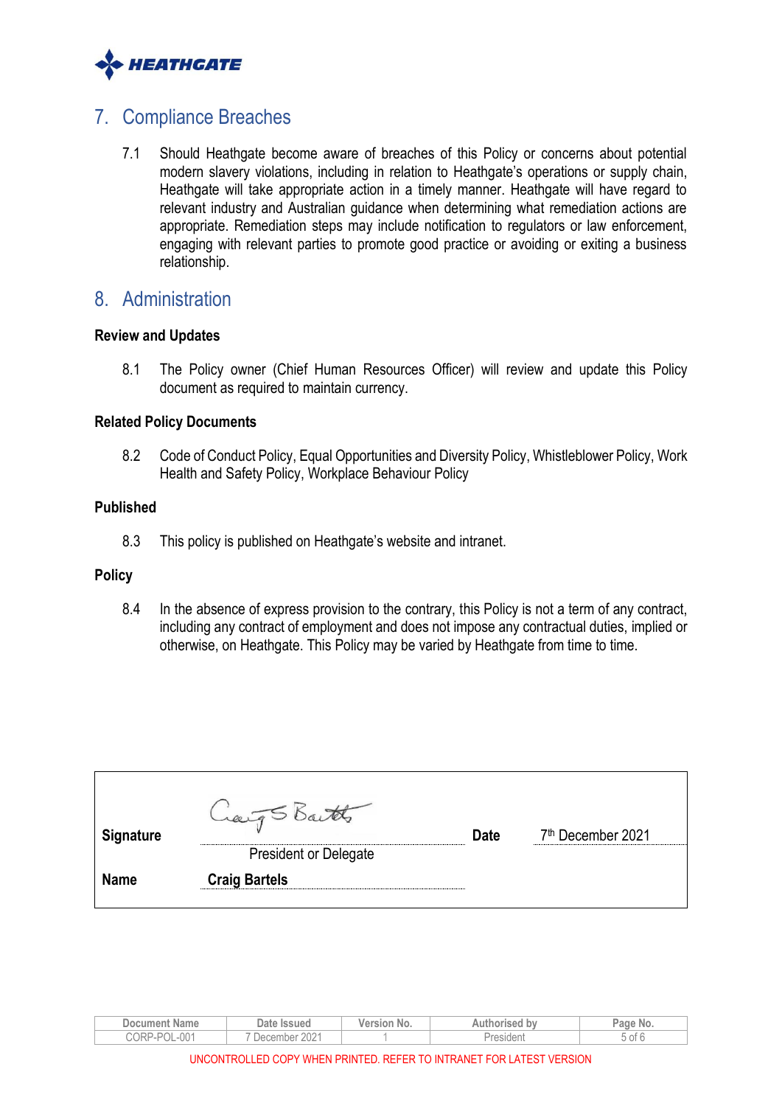

## <span id="page-4-0"></span>7. Compliance Breaches

7.1 Should Heathgate become aware of breaches of this Policy or concerns about potential modern slavery violations, including in relation to Heathgate's operations or supply chain, Heathgate will take appropriate action in a timely manner. Heathgate will have regard to relevant industry and Australian guidance when determining what remediation actions are appropriate. Remediation steps may include notification to regulators or law enforcement, engaging with relevant parties to promote good practice or avoiding or exiting a business relationship.

## <span id="page-4-1"></span>8. Administration

#### **Review and Updates**

8.1 The Policy owner (Chief Human Resources Officer) will review and update this Policy document as required to maintain currency.

#### **Related Policy Documents**

8.2 Code of Conduct Policy, Equal Opportunities and Diversity Policy, Whistleblower Policy, Work Health and Safety Policy, Workplace Behaviour Policy

#### **Published**

8.3 This policy is published on Heathgate's website and intranet.

#### **Policy**

8.4 In the absence of express provision to the contrary, this Policy is not a term of any contract, including any contract of employment and does not impose any contractual duties, implied or otherwise, on Heathgate. This Policy may be varied by Heathgate from time to time.

| <b>Signature</b> |                              | <b>Date</b> | 7 <sup>th</sup> December 2021 |
|------------------|------------------------------|-------------|-------------------------------|
|                  | <b>President or Delegate</b> |             |                               |
| <b>Name</b>      | <b>Craig Bartels</b>         |             |                               |
|                  |                              |             |                               |

| <b>Name</b><br>Document                   | Date.<br>lssued                                    | <b>B-80 - 4</b><br>SIO!<br>NO. | $-1011$<br><b>bv</b> | NO.  |
|-------------------------------------------|----------------------------------------------------|--------------------------------|----------------------|------|
| <b>101</b><br>$\sim$<br>ے ہر<br>UU.<br>UU | $\cap$<br>$\overline{\phantom{a}}$<br>u Jec<br>ZUZ |                                |                      | to c |